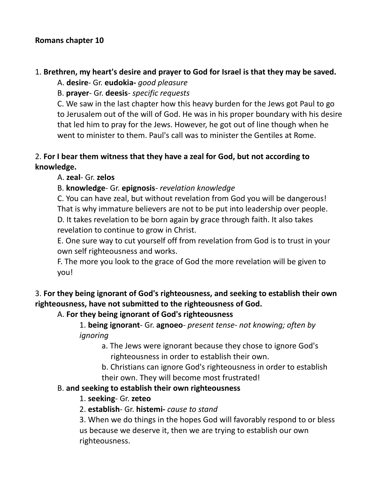#### **Romans chapter 10**

#### 1. **Brethren, my heart's desire and prayer to God for Israel is that they may be saved.**

A. **desire**- Gr. **eudokia-** *good pleasure*

B. **prayer**- Gr. **deesis**- *specific requests*

C. We saw in the last chapter how this heavy burden for the Jews got Paul to go to Jerusalem out of the will of God. He was in his proper boundary with his desire that led him to pray for the Jews. However, he got out of line though when he went to minister to them. Paul's call was to minister the Gentiles at Rome.

#### 2. **For I bear them witness that they have a zeal for God, but not according to knowledge.**

#### A. **zeal**- Gr. **zelos**

#### B. **knowledge**- Gr. **epignosis**- *revelation knowledge*

C. You can have zeal, but without revelation from God you will be dangerous! That is why immature believers are not to be put into leadership over people.

D. It takes revelation to be born again by grace through faith. It also takes revelation to continue to grow in Christ.

E. One sure way to cut yourself off from revelation from God is to trust in your own self righteousness and works.

F. The more you look to the grace of God the more revelation will be given to you!

## 3. **For they being ignorant of God's righteousness, and seeking to establish their own righteousness, have not submitted to the righteousness of God.**

#### A. **For they being ignorant of God's righteousness**

1. **being ignorant**- Gr. **agnoeo**- *present tense- not knowing; often by ignoring*

a. The Jews were ignorant because they chose to ignore God's righteousness in order to establish their own.

b. Christians can ignore God's righteousness in order to establish their own. They will become most frustrated!

#### B. **and seeking to establish their own righteousness**

#### 1. **seeking**- Gr. **zeteo**

#### 2. **establish**- Gr. **histemi-** *cause to stand*

3. When we do things in the hopes God will favorably respond to or bless us because we deserve it, then we are trying to establish our own righteousness.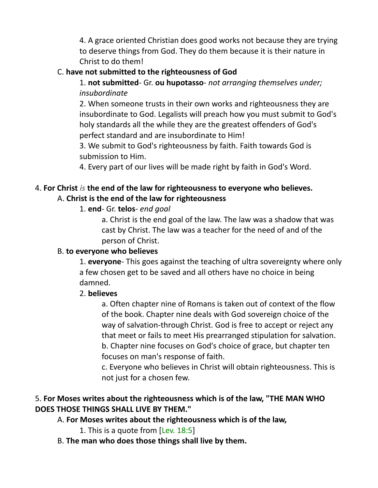4. A grace oriented Christian does good works not because they are trying to deserve things from God. They do them because it is their nature in Christ to do them!

#### C. **have not submitted to the righteousness of God**

1. **not submitted**- Gr. **ou hupotasso**- *not arranging themselves under; insubordinate*

2. When someone trusts in their own works and righteousness they are insubordinate to God. Legalists will preach how you must submit to God's holy standards all the while they are the greatest offenders of God's perfect standard and are insubordinate to Him!

3. We submit to God's righteousness by faith. Faith towards God is submission to Him.

4. Every part of our lives will be made right by faith in God's Word.

#### 4. **For Christ** *is* **the end of the law for righteousness to everyone who believes.** A. **Christ is the end of the law for righteousness**

#### 1. **end**- Gr. **telos**- *end goal*

a. Christ is the end goal of the law. The law was a shadow that was cast by Christ. The law was a teacher for the need of and of the person of Christ.

#### B. **to everyone who believes**

1. **everyone**- This goes against the teaching of ultra sovereignty where only a few chosen get to be saved and all others have no choice in being damned.

#### 2. **believes**

a. Often chapter nine of Romans is taken out of context of the flow of the book. Chapter nine deals with God sovereign choice of the way of salvation-through Christ. God is free to accept or reject any that meet or fails to meet His prearranged stipulation for salvation. b. Chapter nine focuses on God's choice of grace, but chapter ten focuses on man's response of faith.

c. Everyone who believes in Christ will obtain righteousness. This is not just for a chosen few.

#### 5. **For Moses writes about the righteousness which is of the law, "THE MAN WHO DOES THOSE THINGS SHALL LIVE BY THEM."**

## A. **For Moses writes about the righteousness which is of the law,**

- 1. This is a quote from [Lev. 18:5]
- B. **The man who does those things shall live by them.**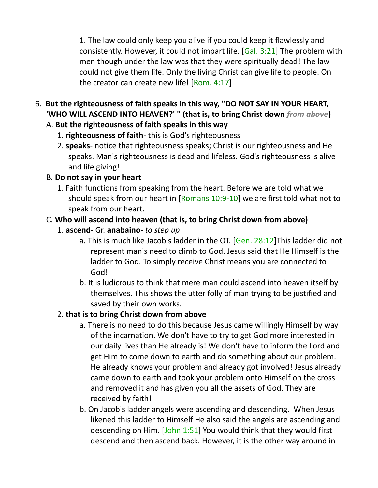1. The law could only keep you alive if you could keep it flawlessly and consistently. However, it could not impart life. [Gal. 3:21] The problem with men though under the law was that they were spiritually dead! The law could not give them life. Only the living Christ can give life to people. On the creator can create new life! [Rom. 4:17]

6. **But the righteousness of faith speaks in this way, "DO NOT SAY IN YOUR HEART, 'WHO WILL ASCEND INTO HEAVEN?' " (that is, to bring Christ down** *from above***)** 

#### A. **But the righteousness of faith speaks in this way**

- 1. **righteousness of faith** this is God's righteousness
- 2. **speaks** notice that righteousness speaks; Christ is our righteousness and He speaks. Man's righteousness is dead and lifeless. God's righteousness is alive and life giving!

#### B. **Do not say in your heart**

1. Faith functions from speaking from the heart. Before we are told what we should speak from our heart in  $[Romans 10:9-10]$  we are first told what not to speak from our heart.

## C. **Who will ascend into heaven (that is, to bring Christ down from above)**

- 1. **ascend** Gr. **anabaino** *to step up*
	- a. This is much like Jacob's ladder in the OT. [Gen. 28:12]This ladder did not represent man's need to climb to God. Jesus said that He Himself is the ladder to God. To simply receive Christ means you are connected to God!
	- b. It is ludicrous to think that mere man could ascend into heaven itself by themselves. This shows the utter folly of man trying to be justified and saved by their own works.

#### 2. **that is to bring Christ down from above**

- a. There is no need to do this because Jesus came willingly Himself by way of the incarnation. We don't have to try to get God more interested in our daily lives than He already is! We don't have to inform the Lord and get Him to come down to earth and do something about our problem. He already knows your problem and already got involved! Jesus already came down to earth and took your problem onto Himself on the cross and removed it and has given you all the assets of God. They are received by faith!
- b. On Jacob's ladder angels were ascending and descending. When Jesus likened this ladder to Himself He also said the angels are ascending and descending on Him. [John 1:51] You would think that they would first descend and then ascend back. However, it is the other way around in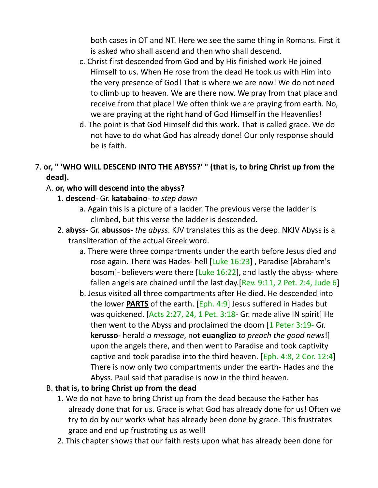both cases in OT and NT. Here we see the same thing in Romans. First it is asked who shall ascend and then who shall descend.

- c. Christ first descended from God and by His finished work He joined Himself to us. When He rose from the dead He took us with Him into the very presence of God! That is where we are now! We do not need to climb up to heaven. We are there now. We pray from that place and receive from that place! We often think we are praying from earth. No, we are praying at the right hand of God Himself in the Heavenlies!
- d. The point is that God Himself did this work. That is called grace. We do not have to do what God has already done! Our only response should be is faith.

#### 7. **or, " 'WHO WILL DESCEND INTO THE ABYSS?' " (that is, to bring Christ up from the dead).**

#### A. **or, who will descend into the abyss?**

- 1. **descend** Gr. **katabaino** *to step down*
	- a. Again this is a picture of a ladder. The previous verse the ladder is climbed, but this verse the ladder is descended.
- 2. **abyss** Gr. **abussos** *the abyss*. KJV translates this as the deep. NKJV Abyss is a transliteration of the actual Greek word.
	- a. There were three compartments under the earth before Jesus died and rose again. There was Hades- hell [Luke 16:23] , Paradise [Abraham's bosom]- believers were there [Luke 16:22], and lastly the abyss- where fallen angels are chained until the last day.[Rev. 9:11, 2 Pet. 2:4, Jude 6]
	- b. Jesus visited all three compartments after He died. He descended into the lower **PARTS** of the earth. [Eph. 4:9] Jesus suffered in Hades but was quickened. [Acts 2:27, 24, 1 Pet. 3:18- Gr. made alive IN spirit] He then went to the Abyss and proclaimed the doom [1 Peter 3:19- Gr. **kerusso**- herald *a message*, not **euanglizo** *to preach the good news*!] upon the angels there, and then went to Paradise and took captivity captive and took paradise into the third heaven.  $[Eph. 4:8, 2 Cor. 12:4]$ There is now only two compartments under the earth- Hades and the Abyss. Paul said that paradise is now in the third heaven.

#### B. **that is, to bring Christ up from the dead**

- 1. We do not have to bring Christ up from the dead because the Father has already done that for us. Grace is what God has already done for us! Often we try to do by our works what has already been done by grace. This frustrates grace and end up frustrating us as well!
- 2. This chapter shows that our faith rests upon what has already been done for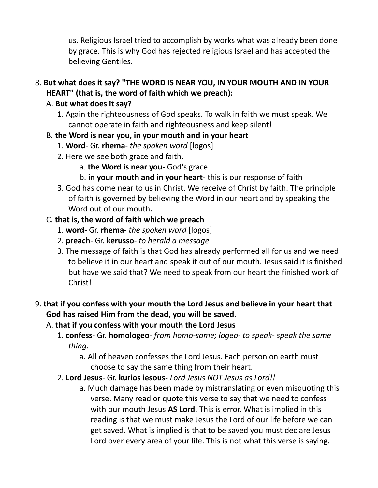us. Religious Israel tried to accomplish by works what was already been done by grace. This is why God has rejected religious Israel and has accepted the believing Gentiles.

#### 8. **But what does it say? "THE WORD IS NEAR YOU, IN YOUR MOUTH AND IN YOUR HEART" (that is, the word of faith which we preach):**

## A. **But what does it say?**

1. Again the righteousness of God speaks. To walk in faith we must speak. We cannot operate in faith and righteousness and keep silent!

#### B. **the Word is near you, in your mouth and in your heart**

- 1. **Word** Gr. **rhema** *the spoken word* [logos]
- 2. Here we see both grace and faith.
	- a. **the Word is near you** God's grace
	- b. **in your mouth and in your heart** this is our response of faith
- 3. God has come near to us in Christ. We receive of Christ by faith. The principle of faith is governed by believing the Word in our heart and by speaking the Word out of our mouth.

## C. **that is, the word of faith which we preach**

- 1. **word** Gr. **rhema** *the spoken word* [logos]
- 2. **preach** Gr. **kerusso** *to herald a message*
- 3. The message of faith is that God has already performed all for us and we need to believe it in our heart and speak it out of our mouth. Jesus said it is finished but have we said that? We need to speak from our heart the finished work of Christ!

# 9. **that if you confess with your mouth the Lord Jesus and believe in your heart that God has raised Him from the dead, you will be saved.**

## A. **that if you confess with your mouth the Lord Jesus**

- 1. **confess** Gr. **homologeo** *from homo-same; logeo- to speak- speak the same thing*.
	- a. All of heaven confesses the Lord Jesus. Each person on earth must choose to say the same thing from their heart.
- 2. **Lord Jesus** Gr. **kurios iesous-** *Lord Jesus NOT Jesus as Lord!!*
	- a. Much damage has been made by mistranslating or even misquoting this verse. Many read or quote this verse to say that we need to confess with our mouth Jesus **AS Lord**. This is error. What is implied in this reading is that we must make Jesus the Lord of our life before we can get saved. What is implied is that to be saved you must declare Jesus Lord over every area of your life. This is not what this verse is saying.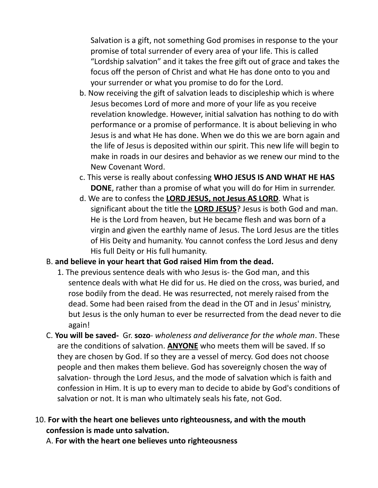Salvation is a gift, not something God promises in response to the your promise of total surrender of every area of your life. This is called "Lordship salvation" and it takes the free gift out of grace and takes the focus off the person of Christ and what He has done onto to you and your surrender or what you promise to do for the Lord.

- b. Now receiving the gift of salvation leads to discipleship which is where Jesus becomes Lord of more and more of your life as you receive revelation knowledge. However, initial salvation has nothing to do with performance or a promise of performance. It is about believing in who Jesus is and what He has done. When we do this we are born again and the life of Jesus is deposited within our spirit. This new life will begin to make in roads in our desires and behavior as we renew our mind to the New Covenant Word.
- c. This verse is really about confessing **WHO JESUS IS AND WHAT HE HAS DONE**, rather than a promise of what you will do for Him in surrender.
- d. We are to confess the **LORD JESUS, not Jesus AS LORD**. What is significant about the title the **LORD JESUS**? Jesus is both God and man. He is the Lord from heaven, but He became flesh and was born of a virgin and given the earthly name of Jesus. The Lord Jesus are the titles of His Deity and humanity. You cannot confess the Lord Jesus and deny His full Deity or His full humanity.

#### B. **and believe in your heart that God raised Him from the dead.**

- 1. The previous sentence deals with who Jesus is- the God man, and this sentence deals with what He did for us. He died on the cross, was buried, and rose bodily from the dead. He was resurrected, not merely raised from the dead. Some had been raised from the dead in the OT and in Jesus' ministry, but Jesus is the only human to ever be resurrected from the dead never to die again!
- C. **You will be saved-** Gr. **sozo** *wholeness and deliverance for the whole man*. These are the conditions of salvation. **ANYONE** who meets them will be saved. If so they are chosen by God. If so they are a vessel of mercy. God does not choose people and then makes them believe. God has sovereignly chosen the way of salvation- through the Lord Jesus, and the mode of salvation which is faith and confession in Him. It is up to every man to decide to abide by God's conditions of salvation or not. It is man who ultimately seals his fate, not God.

#### 10. **For with the heart one believes unto righteousness, and with the mouth confession is made unto salvation.**

A. **For with the heart one believes unto righteousness**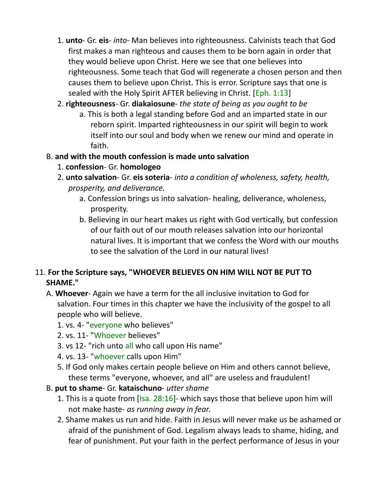- 1. **unto** Gr. **eis** *into* Man believes into righteousness. Calvinists teach that God first makes a man righteous and causes them to be born again in order that they would believe upon Christ. Here we see that one believes into righteousness. Some teach that God will regenerate a chosen person and then causes them to believe upon Christ. This is error. Scripture says that one is sealed with the Holy Spirit AFTER believing in Christ. [Eph. 1:13]
- 2. **righteousness** Gr. **diakaiosune** *the state of being as you ought to be*
	- a. This is both a legal standing before God and an imparted state in our reborn spirit. Imparted righteousness in our spirit will begin to work itself into our soul and body when we renew our mind and operate in faith.
- B. **and with the mouth confession is made unto salvation**
	- 1. **confession** Gr. **homologeo**
	- 2. **unto salvation** Gr. **eis soteria** *into a condition of wholeness, safety, health, prosperity, and deliverance.*
		- a. Confession brings us into salvation- healing, deliverance, wholeness, prosperity.
		- b. Believing in our heart makes us right with God vertically, but confession of our faith out of our mouth releases salvation into our horizontal natural lives. It is important that we confess the Word with our mouths to see the salvation of the Lord in our natural lives!

#### 11. **For the Scripture says, "WHOEVER BELIEVES ON HIM WILL NOT BE PUT TO SHAME."**

- A. **Whoever** Again we have a term for the all inclusive invitation to God for salvation. Four times in this chapter we have the inclusivity of the gospel to all people who will believe.
	- 1. vs. 4- "everyone who believes"
	- 2. vs. 11- "Whoever believes"
	- 3. vs 12- "rich unto all who call upon His name"
	- 4. vs. 13- "whoever calls upon Him"
	- 5. If God only makes certain people believe on Him and others cannot believe, these terms "everyone, whoever, and all" are useless and fraudulent!
- B. **put to shame** Gr. **kataischuno** *utter shame*
	- 1. This is a quote from [Isa. 28:16]- which says those that believe upon him will not make haste- *as running away in fear*.
	- 2. Shame makes us run and hide. Faith in Jesus will never make us be ashamed or afraid of the punishment of God. Legalism always leads to shame, hiding, and fear of punishment. Put your faith in the perfect performance of Jesus in your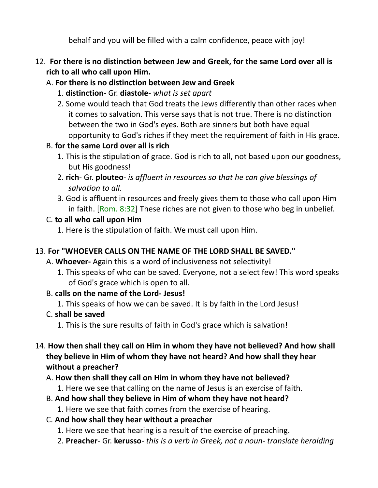behalf and you will be filled with a calm confidence, peace with joy!

- 12. **For there is no distinction between Jew and Greek, for the same Lord over all is rich to all who call upon Him.**
	- A. **For there is no distinction between Jew and Greek**
		- 1. **distinction** Gr. **diastole** *what is set apart*
		- 2. Some would teach that God treats the Jews differently than other races when it comes to salvation. This verse says that is not true. There is no distinction between the two in God's eyes. Both are sinners but both have equal opportunity to God's riches if they meet the requirement of faith in His grace.

# B. **for the same Lord over all is rich**

- 1. This is the stipulation of grace. God is rich to all, not based upon our goodness, but His goodness!
- 2. **rich** Gr. **plouteo** *is affluent in resources so that he can give blessings of salvation to all.*
- 3. God is affluent in resources and freely gives them to those who call upon Him in faith. [Rom. 8:32] These riches are not given to those who beg in unbelief.

## C. **to all who call upon Him**

1. Here is the stipulation of faith. We must call upon Him.

## 13. **For "WHOEVER CALLS ON THE NAME OF THE LORD SHALL BE SAVED."**

A. **Whoever-** Again this is a word of inclusiveness not selectivity!

1. This speaks of who can be saved. Everyone, not a select few! This word speaks of God's grace which is open to all.

## B. **calls on the name of the Lord- Jesus!**

1. This speaks of how we can be saved. It is by faith in the Lord Jesus!

## C. **shall be saved**

1. This is the sure results of faith in God's grace which is salvation!

14. **How then shall they call on Him in whom they have not believed? And how shall they believe in Him of whom they have not heard? And how shall they hear without a preacher?**

## A. **How then shall they call on Him in whom they have not believed?**

1. Here we see that calling on the name of Jesus is an exercise of faith.

## B. **And how shall they believe in Him of whom they have not heard?**

1. Here we see that faith comes from the exercise of hearing.

## C. **And how shall they hear without a preacher**

- 1. Here we see that hearing is a result of the exercise of preaching.
- 2. **Preacher** Gr. **kerusso** *this is a verb in Greek, not a noun- translate heralding*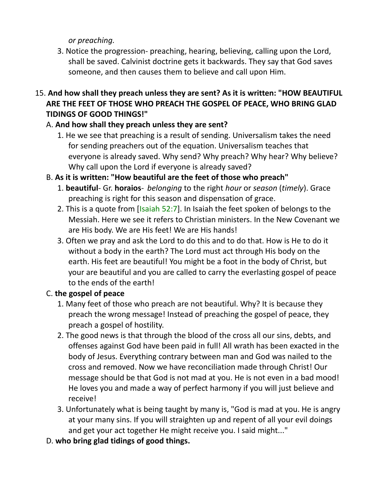*or preaching.*

- 3. Notice the progression- preaching, hearing, believing, calling upon the Lord, shall be saved. Calvinist doctrine gets it backwards. They say that God saves someone, and then causes them to believe and call upon Him.
- 15. **And how shall they preach unless they are sent? As it is written: "HOW BEAUTIFUL ARE THE FEET OF THOSE WHO PREACH THE GOSPEL OF PEACE, WHO BRING GLAD TIDINGS OF GOOD THINGS!"**

# A. **And how shall they preach unless they are sent?**

1. He we see that preaching is a result of sending. Universalism takes the need for sending preachers out of the equation. Universalism teaches that everyone is already saved. Why send? Why preach? Why hear? Why believe? Why call upon the Lord if everyone is already saved?

## B. **As it is written: "How beautiful are the feet of those who preach"**

- 1. **beautiful** Gr. **horaios** *belonging* to the right *hour* or *season* (*timely*). Grace preaching is right for this season and dispensation of grace.
- 2. This is a quote from [Isaiah 52:7]. In Isaiah the feet spoken of belongs to the Messiah. Here we see it refers to Christian ministers. In the New Covenant we are His body. We are His feet! We are His hands!
- 3. Often we pray and ask the Lord to do this and to do that. How is He to do it without a body in the earth? The Lord must act through His body on the earth. His feet are beautiful! You might be a foot in the body of Christ, but your are beautiful and you are called to carry the everlasting gospel of peace to the ends of the earth!

## C. **the gospel of peace**

- 1. Many feet of those who preach are not beautiful. Why? It is because they preach the wrong message! Instead of preaching the gospel of peace, they preach a gospel of hostility.
- 2. The good news is that through the blood of the cross all our sins, debts, and offenses against God have been paid in full! All wrath has been exacted in the body of Jesus. Everything contrary between man and God was nailed to the cross and removed. Now we have reconciliation made through Christ! Our message should be that God is not mad at you. He is not even in a bad mood! He loves you and made a way of perfect harmony if you will just believe and receive!
- 3. Unfortunately what is being taught by many is, "God is mad at you. He is angry at your many sins. If you will straighten up and repent of all your evil doings and get your act together He might receive you. I said might..."
- D. **who bring glad tidings of good things.**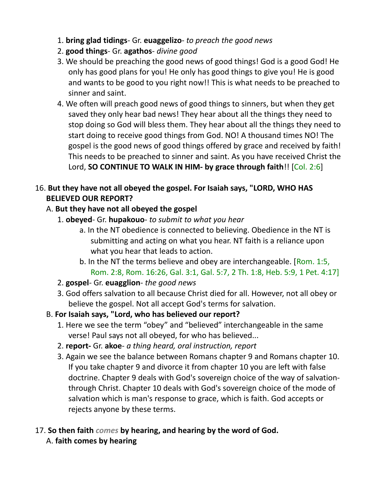- 1. **bring glad tidings** Gr. **euaggelizo** *to preach the good news*
- 2. **good things** Gr. **agathos** *divine good*
- 3. We should be preaching the good news of good things! God is a good God! He only has good plans for you! He only has good things to give you! He is good and wants to be good to you right now!! This is what needs to be preached to sinner and saint.
- 4. We often will preach good news of good things to sinners, but when they get saved they only hear bad news! They hear about all the things they need to stop doing so God will bless them. They hear about all the things they need to start doing to receive good things from God. NO! A thousand times NO! The gospel is the good news of good things offered by grace and received by faith! This needs to be preached to sinner and saint. As you have received Christ the Lord, **SO CONTINUE TO WALK IN HIM- by grace through faith**!! [Col. 2:6]

# 16. **But they have not all obeyed the gospel. For Isaiah says, "LORD, WHO HAS BELIEVED OUR REPORT?**

# A. **But they have not all obeyed the gospel**

- 1. **obeyed** Gr. **hupakouo** *to submit to what you hear*
	- a. In the NT obedience is connected to believing. Obedience in the NT is submitting and acting on what you hear. NT faith is a reliance upon what you hear that leads to action.
	- b. In the NT the terms believe and obey are interchangeable. [Rom. 1:5, Rom. 2:8, Rom. 16:26, Gal. 3:1, Gal. 5:7, 2 Th. 1:8, Heb. 5:9, 1 Pet. 4:17]
- 2. **gospel** Gr. **euagglion** *the good news*
- 3. God offers salvation to all because Christ died for all. However, not all obey or believe the gospel. Not all accept God's terms for salvation.
- B. **For Isaiah says, "Lord, who has believed our report?**
	- 1. Here we see the term "obey" and "believed" interchangeable in the same verse! Paul says not all obeyed, for who has believed...
	- 2. **report-** Gr. **akoe** *a thing heard, oral instruction, report*
	- 3. Again we see the balance between Romans chapter 9 and Romans chapter 10. If you take chapter 9 and divorce it from chapter 10 you are left with false doctrine. Chapter 9 deals with God's sovereign choice of the way of salvationthrough Christ. Chapter 10 deals with God's sovereign choice of the mode of salvation which is man's response to grace, which is faith. God accepts or rejects anyone by these terms.

# 17. **So then faith** *comes* **by hearing, and hearing by the word of God.**

A. **faith comes by hearing**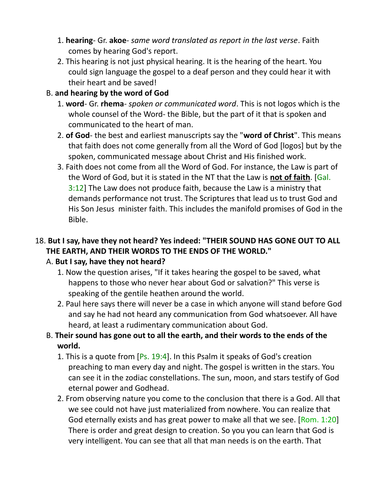- 1. **hearing** Gr. **akoe** *same word translated as report in the last verse*. Faith comes by hearing God's report.
- 2. This hearing is not just physical hearing. It is the hearing of the heart. You could sign language the gospel to a deaf person and they could hear it with their heart and be saved!

#### B. **and hearing by the word of God**

- 1. **word** Gr. **rhema** *spoken or communicated word*. This is not logos which is the whole counsel of the Word- the Bible, but the part of it that is spoken and communicated to the heart of man.
- 2. **of God** the best and earliest manuscripts say the "**word of Christ**". This means that faith does not come generally from all the Word of God [logos] but by the spoken, communicated message about Christ and His finished work.
- 3. Faith does not come from all the Word of God. For instance, the Law is part of the Word of God, but it is stated in the NT that the Law is **not of faith**. [Gal. 3:12] The Law does not produce faith, because the Law is a ministry that demands performance not trust. The Scriptures that lead us to trust God and His Son Jesus minister faith. This includes the manifold promises of God in the Bible.

## 18. **But I say, have they not heard? Yes indeed: "THEIR SOUND HAS GONE OUT TO ALL THE EARTH, AND THEIR WORDS TO THE ENDS OF THE WORLD."**

## A. **But I say, have they not heard?**

- 1. Now the question arises, "If it takes hearing the gospel to be saved, what happens to those who never hear about God or salvation?" This verse is speaking of the gentile heathen around the world.
- 2. Paul here says there will never be a case in which anyone will stand before God and say he had not heard any communication from God whatsoever. All have heard, at least a rudimentary communication about God.

## B. **Their sound has gone out to all the earth, and their words to the ends of the world.**

- 1. This is a quote from  $[Ps. 19:4]$ . In this Psalm it speaks of God's creation preaching to man every day and night. The gospel is written in the stars. You can see it in the zodiac constellations. The sun, moon, and stars testify of God eternal power and Godhead.
- 2. From observing nature you come to the conclusion that there is a God. All that we see could not have just materialized from nowhere. You can realize that God eternally exists and has great power to make all that we see. [Rom. 1:20] There is order and great design to creation. So you you can learn that God is very intelligent. You can see that all that man needs is on the earth. That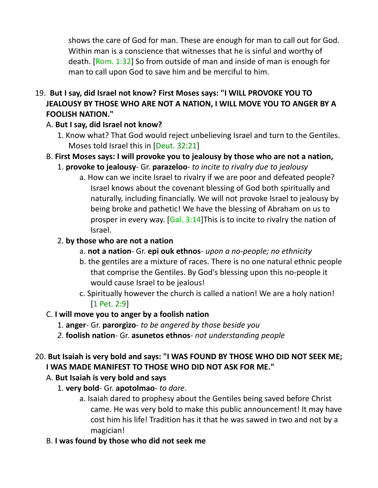shows the care of God for man. These are enough for man to call out for God. Within man is a conscience that witnesses that he is sinful and worthy of death. [Rom. 1:32] So from outside of man and inside of man is enough for man to call upon God to save him and be merciful to him.

# 19. **But I say, did Israel not know? First Moses says: "I WILL PROVOKE YOU TO JEALOUSY BY THOSE WHO ARE NOT A NATION, I WILL MOVE YOU TO ANGER BY A FOOLISH NATION."**

- A. **But I say, did Israel not know?**
	- 1. Know what? That God would reject unbelieving Israel and turn to the Gentiles. Moses told Israel this in [Deut. 32:21]
- B. **First Moses says: I will provoke you to jealousy by those who are not a nation,**
	- 1. **provoke to jealousy** Gr. **parazeloo** *to incite to rivalry due to jealousy*
		- a. How can we incite Israel to rivalry if we are poor and defeated people? Israel knows about the covenant blessing of God both spiritually and naturally, including financially. We will not provoke Israel to jealousy by being broke and pathetic! We have the blessing of Abraham on us to prosper in every way. [Gal. 3:14]This is to incite to rivalry the nation of Israel.

# 2. **by those who are not a nation**

- a. **not a nation** Gr. **epi ouk ethnos** *upon a no-people; no ethnicity*
- b. the gentiles are a mixture of races. There is no one natural ethnic people that comprise the Gentiles. By God's blessing upon this no-people it would cause Israel to be jealous!
- c. Spiritually however the church is called a nation! We are a holy nation! [1 Pet. 2:9]

## C. **I will move you to anger by a foolish nation**

- 1. **anger** Gr. **parorgizo** *to be angered by those beside you*
- *2.* **foolish nation** Gr. **asunetos ethnos** *not understanding people*

# 20. **But Isaiah is very bold and says: "I WAS FOUND BY THOSE WHO DID NOT SEEK ME; I WAS MADE MANIFEST TO THOSE WHO DID NOT ASK FOR ME."**

# A. **But Isaiah is very bold and says**

- 1. **very bold** Gr. **apotolmao** *to dare*.
	- a. Isaiah dared to prophesy about the Gentiles being saved before Christ came. He was very bold to make this public announcement! It may have cost him his life! Tradition has it that he was sawed in two and not by a magician!
- B. **I was found by those who did not seek me**